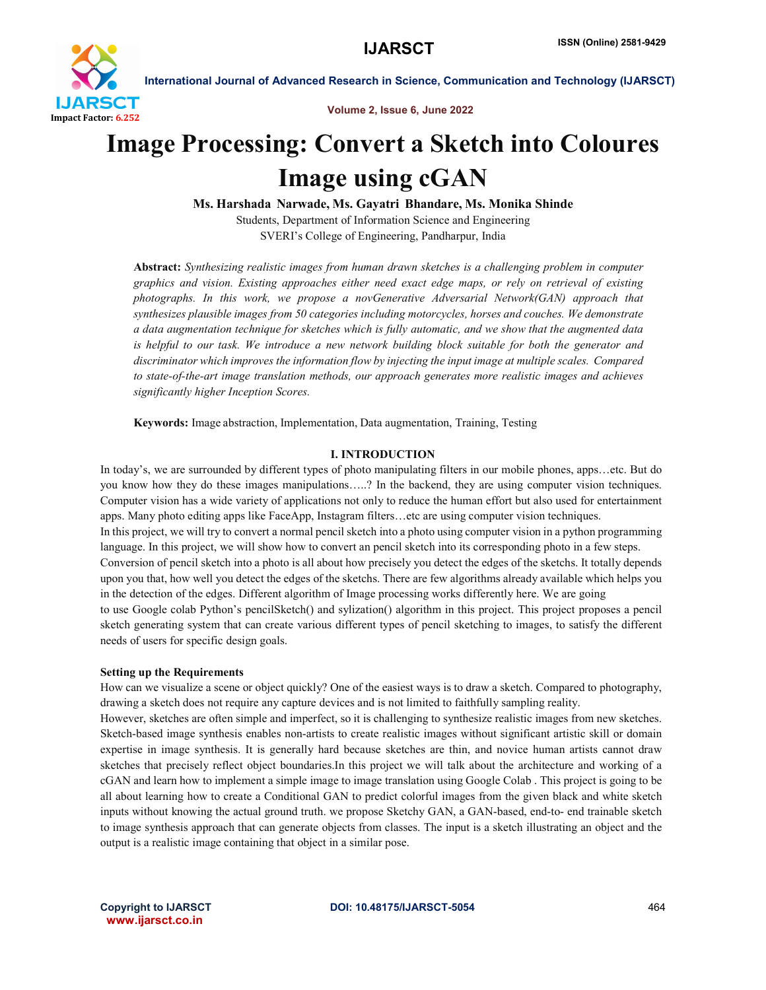

Volume 2, Issue 6, June 2022

# Image Processing: Convert a Sketch into Coloures Image using cGAN

Ms. Harshada Narwade, Ms. Gayatri Bhandare, Ms. Monika Shinde Students, Department of Information Science and Engineering SVERI's College of Engineering, Pandharpur, India

Abstract: *Synthesizing realistic images from human drawn sketches is a challenging problem in computer graphics and vision. Existing approaches either need exact edge maps, or rely on retrieval of existing photographs. In this work, we propose a novGenerative Adversarial Network(GAN) approach that synthesizes plausible images from 50 categories including motorcycles, horses and couches. We demonstrate a data augmentation technique for sketches which is fully automatic, and we show that the augmented data is helpful to our task. We introduce a new network building block suitable for both the generator and discriminator which improves the information flow by injecting the input image at multiple scales. Compared to state-of-the-art image translation methods, our approach generates more realistic images and achieves significantly higher Inception Scores.*

Keywords: Image abstraction, Implementation, Data augmentation, Training, Testing

#### I. INTRODUCTION

In today's, we are surrounded by different types of photo manipulating filters in our mobile phones, apps…etc. But do you know how they do these images manipulations…..? In the backend, they are using computer vision techniques. Computer vision has a wide variety of applications not only to reduce the human effort but also used for entertainment apps. Many photo editing apps like FaceApp, Instagram filters…etc are using computer vision techniques.

In this project, we will try to convert a normal pencil sketch into a photo using computer vision in a python programming language. In this project, we will show how to convert an pencil sketch into its corresponding photo in a few steps.

Conversion of pencil sketch into a photo is all about how precisely you detect the edges of the sketchs. It totally depends upon you that, how well you detect the edges of the sketchs. There are few algorithms already available which helps you in the detection of the edges. Different algorithm of Image processing works differently here. We are going

to use Google colab Python's pencilSketch() and sylization() algorithm in this project. This project proposes a pencil sketch generating system that can create various different types of pencil sketching to images, to satisfy the different needs of users for specific design goals.

#### Setting up the Requirements

How can we visualize a scene or object quickly? One of the easiest ways is to draw a sketch. Compared to photography, drawing a sketch does not require any capture devices and is not limited to faithfully sampling reality.

However, sketches are often simple and imperfect, so it is challenging to synthesize realistic images from new sketches. Sketch-based image synthesis enables non-artists to create realistic images without significant artistic skill or domain expertise in image synthesis. It is generally hard because sketches are thin, and novice human artists cannot draw sketches that precisely reflect object boundaries.In this project we will talk about the architecture and working of a cGAN and learn how to implement a simple image to image translation using Google Colab . This project is going to be all about learning how to create a Conditional GAN to predict colorful images from the given black and white sketch inputs without knowing the actual ground truth. we propose Sketchy GAN, a GAN-based, end-to- end trainable sketch to image synthesis approach that can generate objects from classes. The input is a sketch illustrating an object and the output is a realistic image containing that object in a similar pose.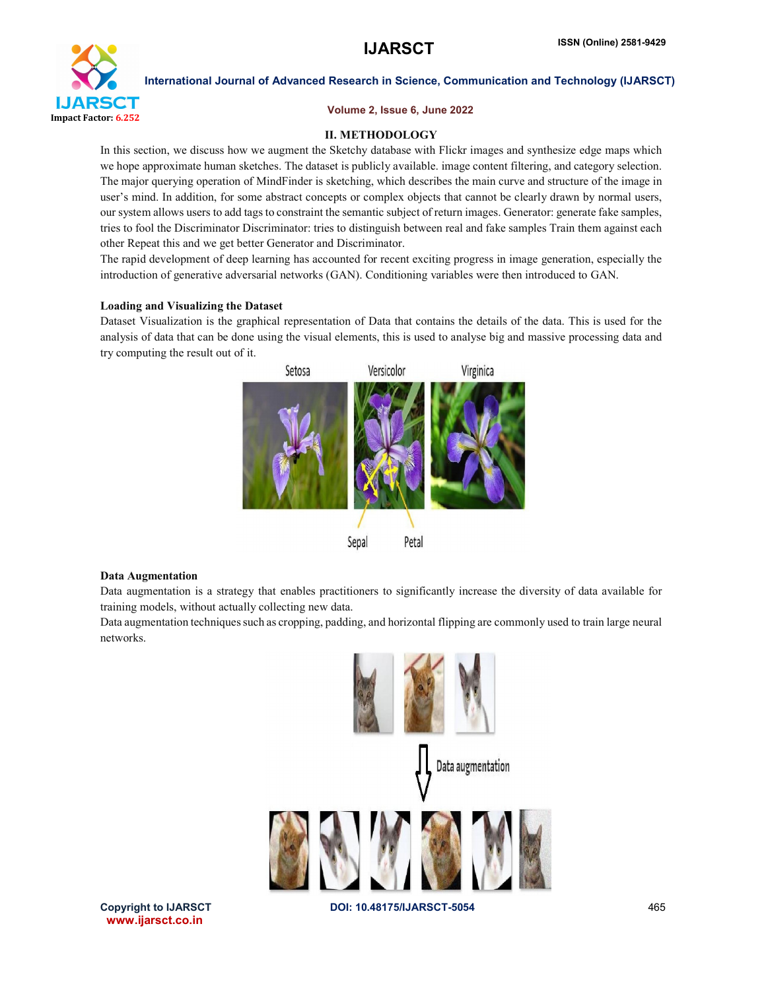

#### Volume 2, Issue 6, June 2022

### II. METHODOLOGY

In this section, we discuss how we augment the Sketchy database with Flickr images and synthesize edge maps which we hope approximate human sketches. The dataset is publicly available. image content filtering, and category selection. The major querying operation of MindFinder is sketching, which describes the main curve and structure of the image in user's mind. In addition, for some abstract concepts or complex objects that cannot be clearly drawn by normal users, our system allows users to add tags to constraint the semantic subject of return images. Generator: generate fake samples, tries to fool the Discriminator Discriminator: tries to distinguish between real and fake samples Train them against each other Repeat this and we get better Generator and Discriminator.

The rapid development of deep learning has accounted for recent exciting progress in image generation, especially the introduction of generative adversarial networks (GAN). Conditioning variables were then introduced to GAN.

#### Loading and Visualizing the Dataset

Dataset Visualization is the graphical representation of Data that contains the details of the data. This is used for the analysis of data that can be done using the visual elements, this is used to analyse big and massive processing data and try computing the result out of it.



#### Data Augmentation

Data augmentation is a strategy that enables practitioners to significantly increase the diversity of data available for training models, without actually collecting new data.

Data augmentation techniques such as cropping, padding, and horizontal flipping are commonly used to train large neural networks.



www.ijarsct.co.in

Copyright to IJARSCT **DOI: 10.48175/IJARSCT-5054** 465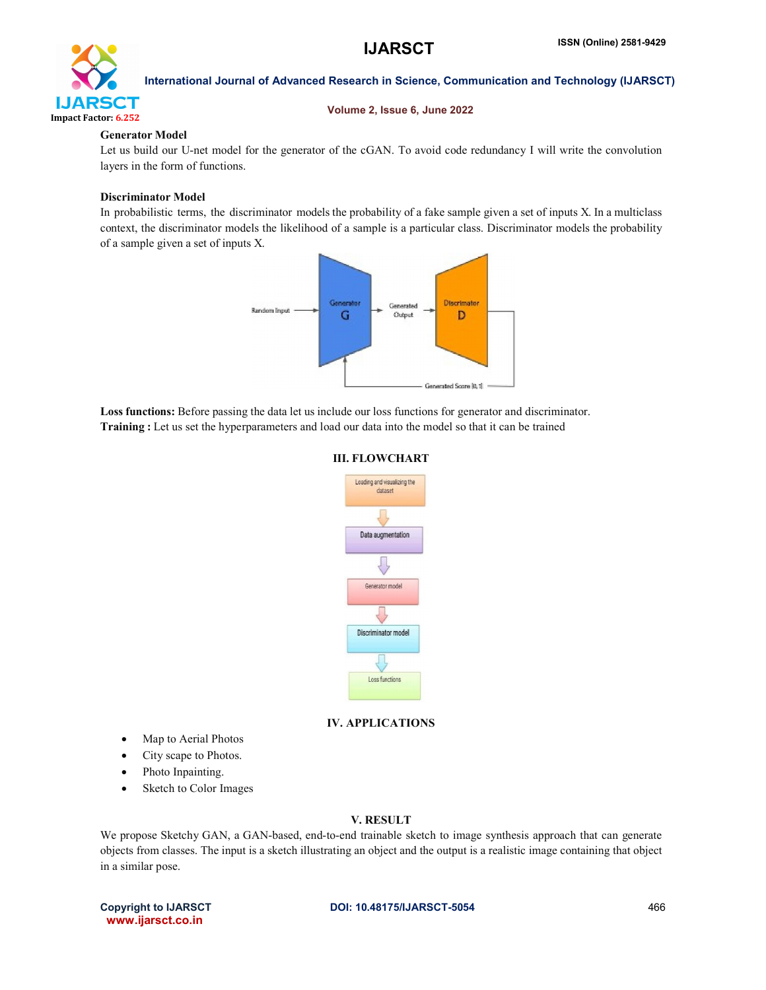

#### Volume 2, Issue 6, June 2022

### Generator Model

Let us build our U-net model for the generator of the cGAN. To avoid code redundancy I will write the convolution layers in the form of functions.

### Discriminator Model

In probabilistic terms, the discriminator models the probability of a fake sample given a set of inputs X. In a multiclass context, the discriminator models the likelihood of a sample is a particular class. Discriminator models the probability of a sample given a set of inputs X.



Loss functions: Before passing the data let us include our loss functions for generator and discriminator. Training : Let us set the hyperparameters and load our data into the model so that it can be trained

#### III. FLOWCHART



# IV. APPLICATIONS

- Map to Aerial Photos
- City scape to Photos.
- Photo Inpainting.
- Sketch to Color Images

### V. RESULT

We propose Sketchy GAN, a GAN-based, end-to-end trainable sketch to image synthesis approach that can generate objects from classes. The input is a sketch illustrating an object and the output is a realistic image containing that object in a similar pose.

www.ijarsct.co.in

# Copyright to IJARSCT **DOI: 10.48175/IJARSCT-5054** 466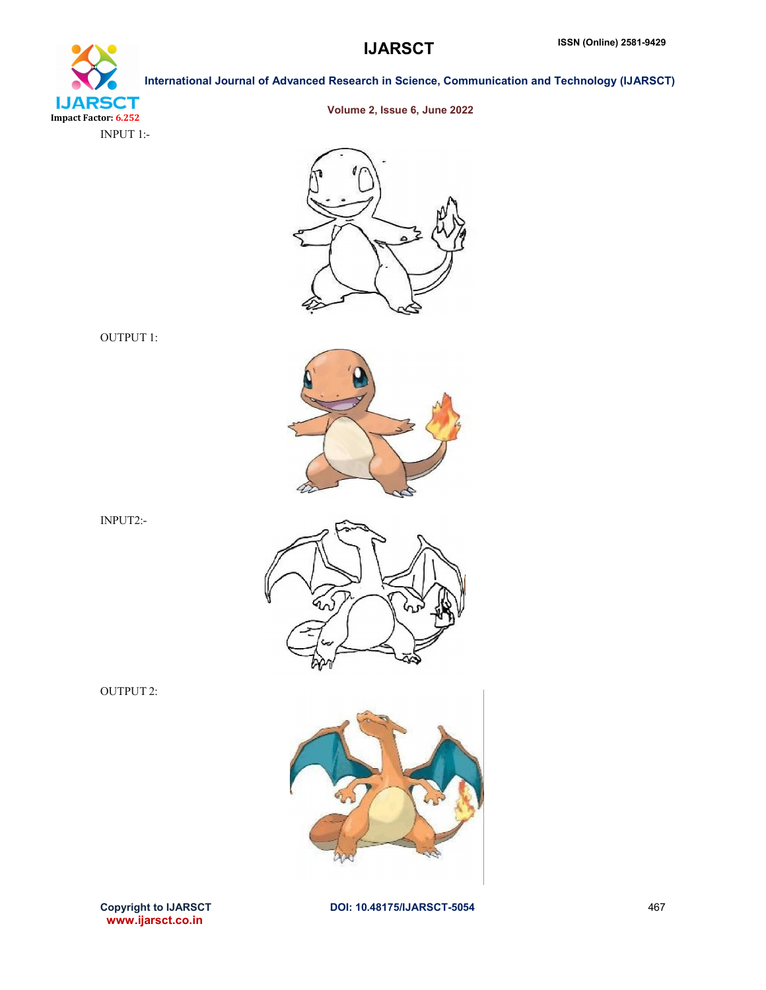



Volume 2, Issue 6, June 2022



OUTPUT 1:

INPUT2:-









www.ijarsct.co.in

Copyright to IJARSCT **DOI: 10.48175/IJARSCT-5054** 467